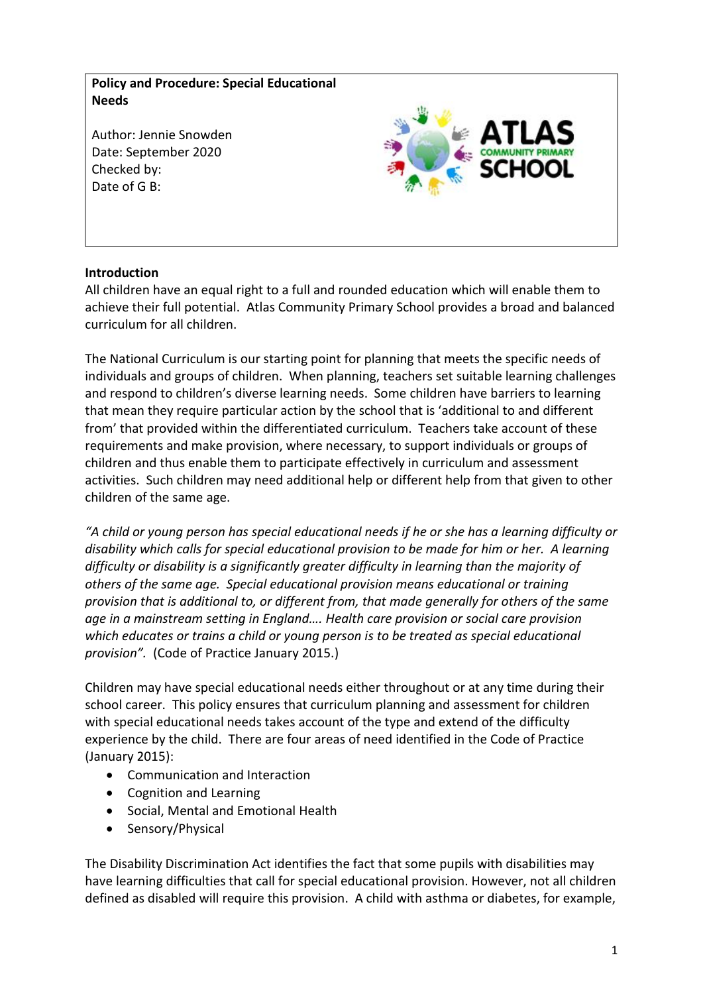**Policy and Procedure: Special Educational Needs**

Author: Jennie Snowden Date: September 2020 Checked by: Date of G B:



### **Introduction**

All children have an equal right to a full and rounded education which will enable them to achieve their full potential. Atlas Community Primary School provides a broad and balanced curriculum for all children.

The National Curriculum is our starting point for planning that meets the specific needs of individuals and groups of children. When planning, teachers set suitable learning challenges and respond to children's diverse learning needs. Some children have barriers to learning that mean they require particular action by the school that is 'additional to and different from' that provided within the differentiated curriculum. Teachers take account of these requirements and make provision, where necessary, to support individuals or groups of children and thus enable them to participate effectively in curriculum and assessment activities. Such children may need additional help or different help from that given to other children of the same age.

*"A child or young person has special educational needs if he or she has a learning difficulty or disability which calls for special educational provision to be made for him or her. A learning difficulty or disability is a significantly greater difficulty in learning than the majority of others of the same age. Special educational provision means educational or training provision that is additional to, or different from, that made generally for others of the same age in a mainstream setting in England…. Health care provision or social care provision which educates or trains a child or young person is to be treated as special educational provision".* (Code of Practice January 2015.)

Children may have special educational needs either throughout or at any time during their school career. This policy ensures that curriculum planning and assessment for children with special educational needs takes account of the type and extend of the difficulty experience by the child. There are four areas of need identified in the Code of Practice (January 2015):

- Communication and Interaction
- Cognition and Learning
- Social, Mental and Emotional Health
- Sensory/Physical

The Disability Discrimination Act identifies the fact that some pupils with disabilities may have learning difficulties that call for special educational provision. However, not all children defined as disabled will require this provision. A child with asthma or diabetes, for example,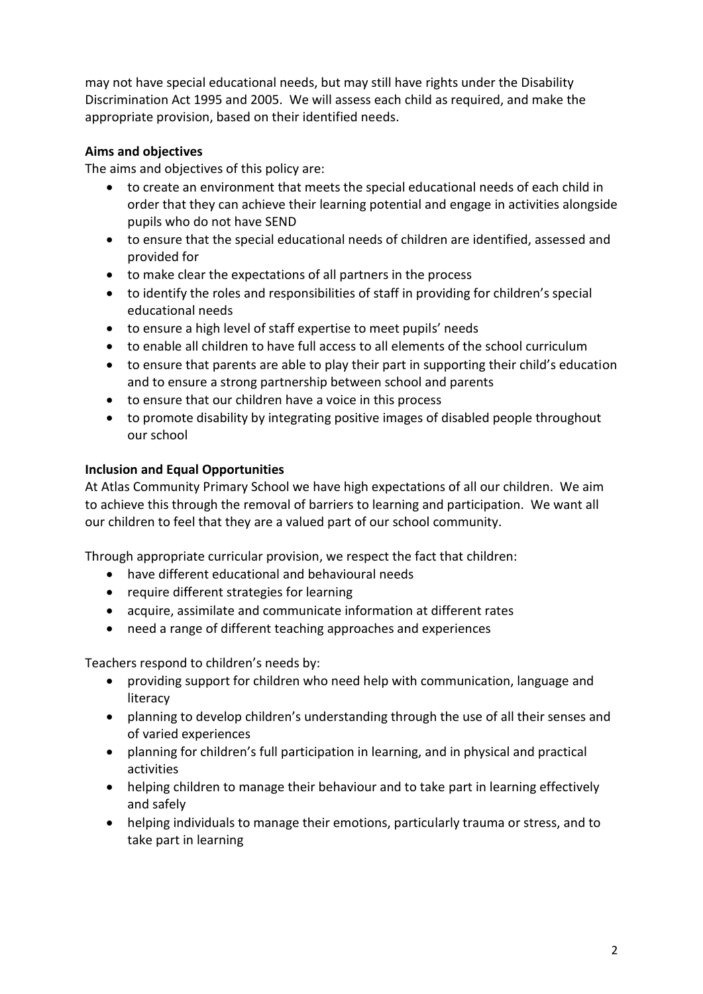may not have special educational needs, but may still have rights under the Disability Discrimination Act 1995 and 2005. We will assess each child as required, and make the appropriate provision, based on their identified needs.

# **Aims and objectives**

The aims and objectives of this policy are:

- to create an environment that meets the special educational needs of each child in order that they can achieve their learning potential and engage in activities alongside pupils who do not have SEND
- to ensure that the special educational needs of children are identified, assessed and provided for
- to make clear the expectations of all partners in the process
- to identify the roles and responsibilities of staff in providing for children's special educational needs
- to ensure a high level of staff expertise to meet pupils' needs
- to enable all children to have full access to all elements of the school curriculum
- to ensure that parents are able to play their part in supporting their child's education and to ensure a strong partnership between school and parents
- to ensure that our children have a voice in this process
- to promote disability by integrating positive images of disabled people throughout our school

# **Inclusion and Equal Opportunities**

At Atlas Community Primary School we have high expectations of all our children. We aim to achieve this through the removal of barriers to learning and participation. We want all our children to feel that they are a valued part of our school community.

Through appropriate curricular provision, we respect the fact that children:

- have different educational and behavioural needs
- require different strategies for learning
- acquire, assimilate and communicate information at different rates
- need a range of different teaching approaches and experiences

Teachers respond to children's needs by:

- providing support for children who need help with communication, language and literacy
- planning to develop children's understanding through the use of all their senses and of varied experiences
- planning for children's full participation in learning, and in physical and practical activities
- helping children to manage their behaviour and to take part in learning effectively and safely
- helping individuals to manage their emotions, particularly trauma or stress, and to take part in learning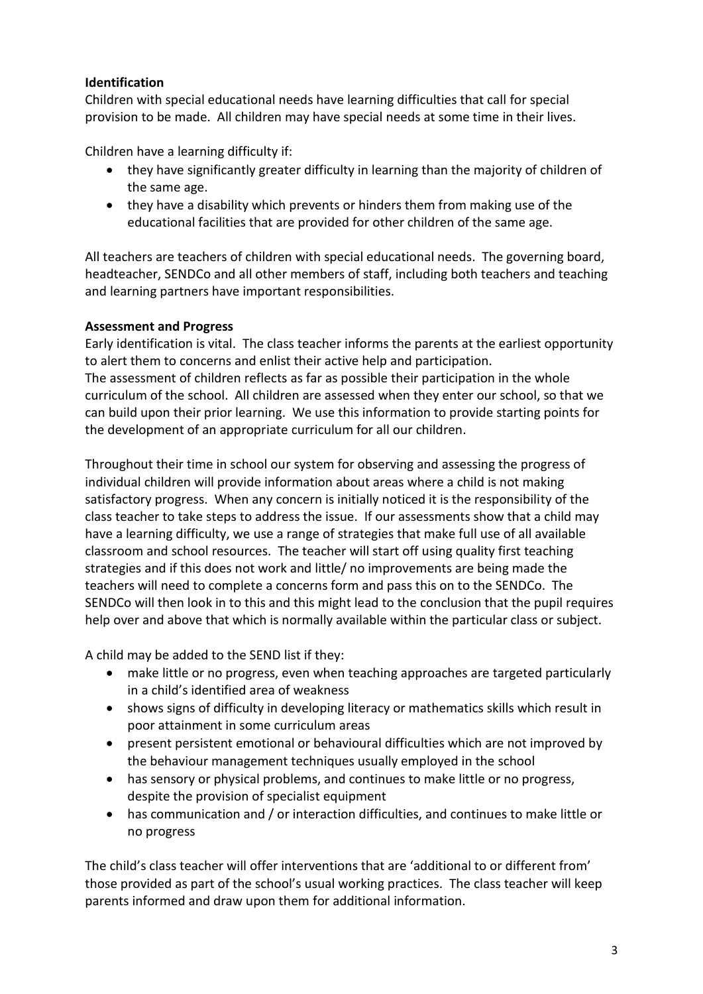# **Identification**

Children with special educational needs have learning difficulties that call for special provision to be made. All children may have special needs at some time in their lives.

Children have a learning difficulty if:

- they have significantly greater difficulty in learning than the majority of children of the same age.
- they have a disability which prevents or hinders them from making use of the educational facilities that are provided for other children of the same age.

All teachers are teachers of children with special educational needs. The governing board, headteacher, SENDCo and all other members of staff, including both teachers and teaching and learning partners have important responsibilities.

### **Assessment and Progress**

Early identification is vital. The class teacher informs the parents at the earliest opportunity to alert them to concerns and enlist their active help and participation.

The assessment of children reflects as far as possible their participation in the whole curriculum of the school. All children are assessed when they enter our school, so that we can build upon their prior learning. We use this information to provide starting points for the development of an appropriate curriculum for all our children.

Throughout their time in school our system for observing and assessing the progress of individual children will provide information about areas where a child is not making satisfactory progress. When any concern is initially noticed it is the responsibility of the class teacher to take steps to address the issue. If our assessments show that a child may have a learning difficulty, we use a range of strategies that make full use of all available classroom and school resources. The teacher will start off using quality first teaching strategies and if this does not work and little/ no improvements are being made the teachers will need to complete a concerns form and pass this on to the SENDCo. The SENDCo will then look in to this and this might lead to the conclusion that the pupil requires help over and above that which is normally available within the particular class or subject.

A child may be added to the SEND list if they:

- make little or no progress, even when teaching approaches are targeted particularly in a child's identified area of weakness
- shows signs of difficulty in developing literacy or mathematics skills which result in poor attainment in some curriculum areas
- present persistent emotional or behavioural difficulties which are not improved by the behaviour management techniques usually employed in the school
- has sensory or physical problems, and continues to make little or no progress, despite the provision of specialist equipment
- has communication and / or interaction difficulties, and continues to make little or no progress

The child's class teacher will offer interventions that are 'additional to or different from' those provided as part of the school's usual working practices. The class teacher will keep parents informed and draw upon them for additional information.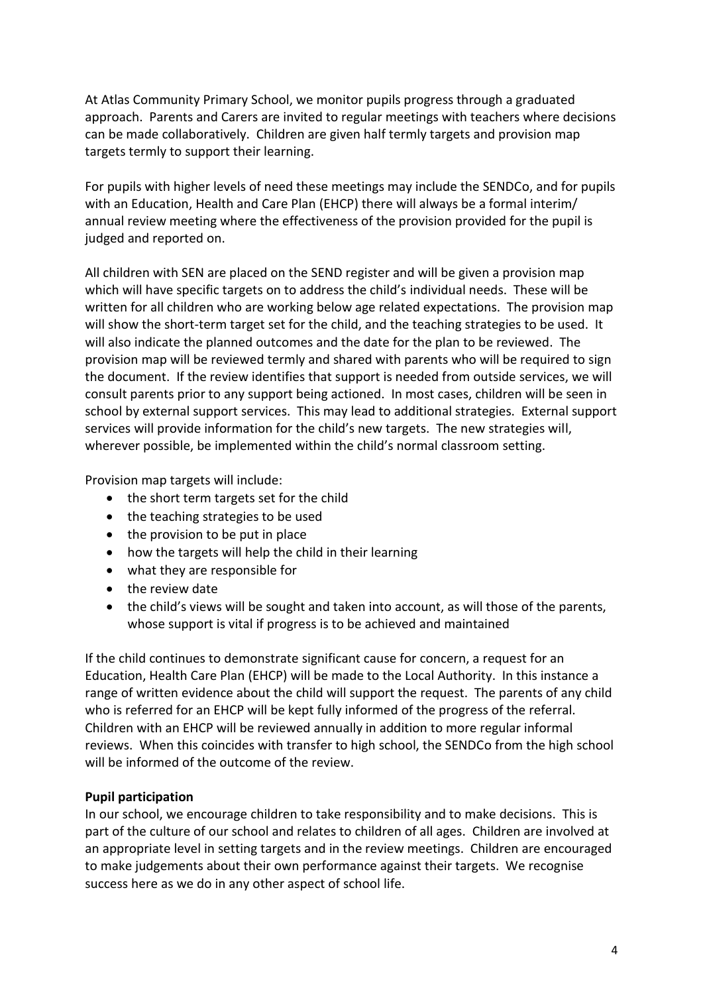At Atlas Community Primary School, we monitor pupils progress through a graduated approach. Parents and Carers are invited to regular meetings with teachers where decisions can be made collaboratively. Children are given half termly targets and provision map targets termly to support their learning.

For pupils with higher levels of need these meetings may include the SENDCo, and for pupils with an Education, Health and Care Plan (EHCP) there will always be a formal interim/ annual review meeting where the effectiveness of the provision provided for the pupil is judged and reported on.

All children with SEN are placed on the SEND register and will be given a provision map which will have specific targets on to address the child's individual needs. These will be written for all children who are working below age related expectations. The provision map will show the short-term target set for the child, and the teaching strategies to be used. It will also indicate the planned outcomes and the date for the plan to be reviewed. The provision map will be reviewed termly and shared with parents who will be required to sign the document. If the review identifies that support is needed from outside services, we will consult parents prior to any support being actioned. In most cases, children will be seen in school by external support services. This may lead to additional strategies. External support services will provide information for the child's new targets. The new strategies will, wherever possible, be implemented within the child's normal classroom setting.

Provision map targets will include:

- the short term targets set for the child
- the teaching strategies to be used
- the provision to be put in place
- how the targets will help the child in their learning
- what they are responsible for
- the review date
- the child's views will be sought and taken into account, as will those of the parents, whose support is vital if progress is to be achieved and maintained

If the child continues to demonstrate significant cause for concern, a request for an Education, Health Care Plan (EHCP) will be made to the Local Authority. In this instance a range of written evidence about the child will support the request. The parents of any child who is referred for an EHCP will be kept fully informed of the progress of the referral. Children with an EHCP will be reviewed annually in addition to more regular informal reviews. When this coincides with transfer to high school, the SENDCo from the high school will be informed of the outcome of the review.

#### **Pupil participation**

In our school, we encourage children to take responsibility and to make decisions. This is part of the culture of our school and relates to children of all ages. Children are involved at an appropriate level in setting targets and in the review meetings. Children are encouraged to make judgements about their own performance against their targets. We recognise success here as we do in any other aspect of school life.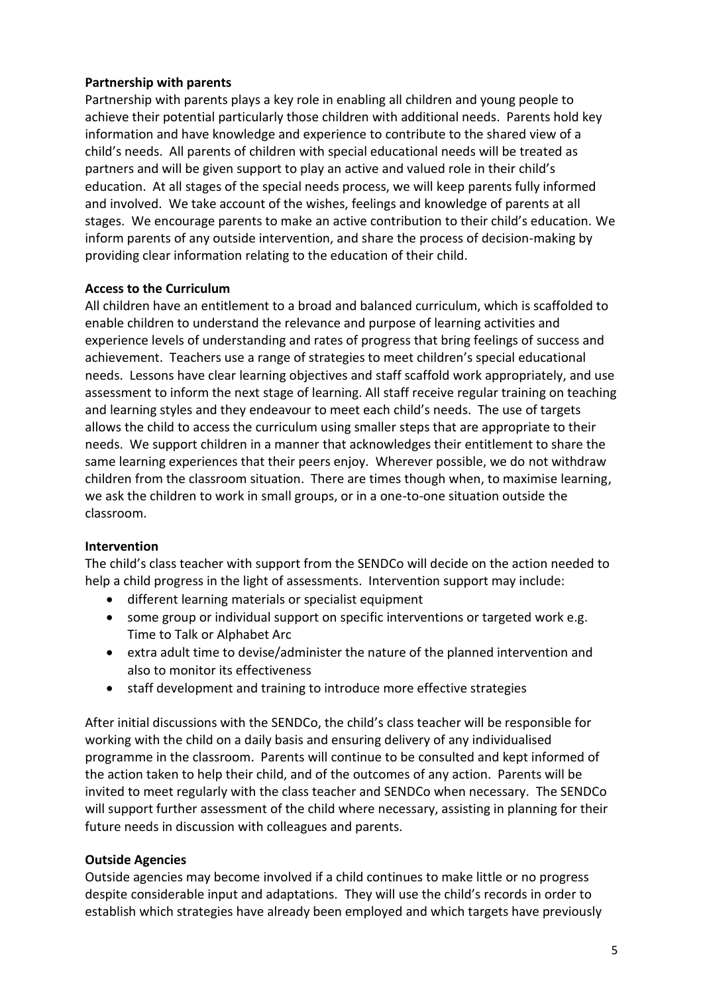### **Partnership with parents**

Partnership with parents plays a key role in enabling all children and young people to achieve their potential particularly those children with additional needs. Parents hold key information and have knowledge and experience to contribute to the shared view of a child's needs. All parents of children with special educational needs will be treated as partners and will be given support to play an active and valued role in their child's education. At all stages of the special needs process, we will keep parents fully informed and involved. We take account of the wishes, feelings and knowledge of parents at all stages. We encourage parents to make an active contribution to their child's education. We inform parents of any outside intervention, and share the process of decision-making by providing clear information relating to the education of their child.

# **Access to the Curriculum**

All children have an entitlement to a broad and balanced curriculum, which is scaffolded to enable children to understand the relevance and purpose of learning activities and experience levels of understanding and rates of progress that bring feelings of success and achievement. Teachers use a range of strategies to meet children's special educational needs. Lessons have clear learning objectives and staff scaffold work appropriately, and use assessment to inform the next stage of learning. All staff receive regular training on teaching and learning styles and they endeavour to meet each child's needs. The use of targets allows the child to access the curriculum using smaller steps that are appropriate to their needs. We support children in a manner that acknowledges their entitlement to share the same learning experiences that their peers enjoy. Wherever possible, we do not withdraw children from the classroom situation. There are times though when, to maximise learning, we ask the children to work in small groups, or in a one-to-one situation outside the classroom.

### **Intervention**

The child's class teacher with support from the SENDCo will decide on the action needed to help a child progress in the light of assessments. Intervention support may include:

- different learning materials or specialist equipment
- some group or individual support on specific interventions or targeted work e.g. Time to Talk or Alphabet Arc
- extra adult time to devise/administer the nature of the planned intervention and also to monitor its effectiveness
- staff development and training to introduce more effective strategies

After initial discussions with the SENDCo, the child's class teacher will be responsible for working with the child on a daily basis and ensuring delivery of any individualised programme in the classroom. Parents will continue to be consulted and kept informed of the action taken to help their child, and of the outcomes of any action. Parents will be invited to meet regularly with the class teacher and SENDCo when necessary. The SENDCo will support further assessment of the child where necessary, assisting in planning for their future needs in discussion with colleagues and parents.

### **Outside Agencies**

Outside agencies may become involved if a child continues to make little or no progress despite considerable input and adaptations. They will use the child's records in order to establish which strategies have already been employed and which targets have previously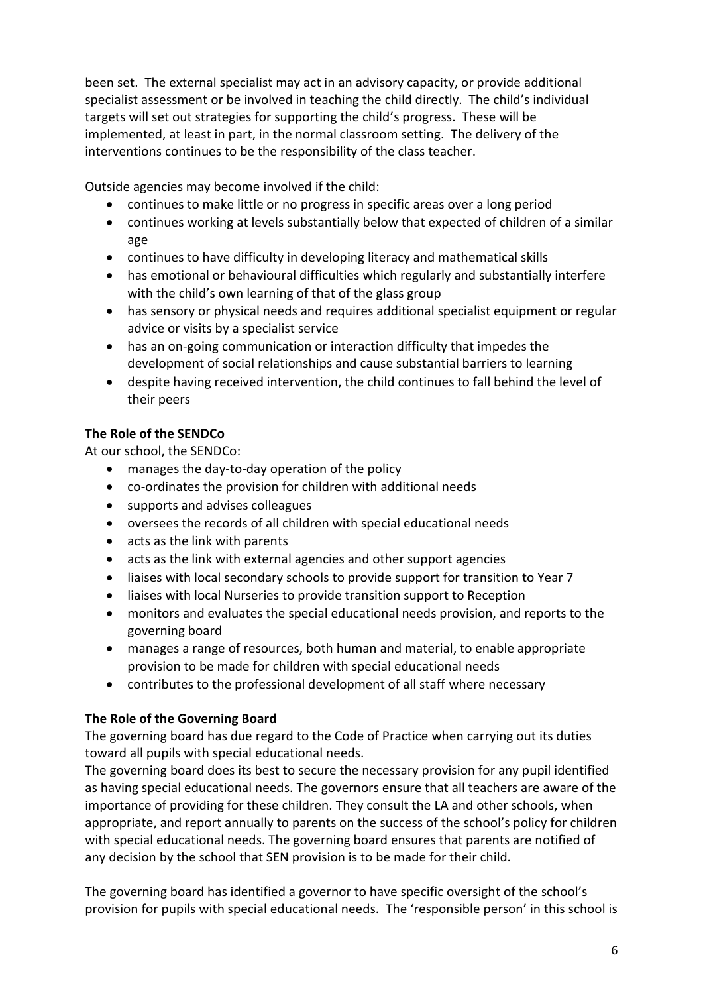been set. The external specialist may act in an advisory capacity, or provide additional specialist assessment or be involved in teaching the child directly. The child's individual targets will set out strategies for supporting the child's progress. These will be implemented, at least in part, in the normal classroom setting. The delivery of the interventions continues to be the responsibility of the class teacher.

Outside agencies may become involved if the child:

- continues to make little or no progress in specific areas over a long period
- continues working at levels substantially below that expected of children of a similar age
- continues to have difficulty in developing literacy and mathematical skills
- has emotional or behavioural difficulties which regularly and substantially interfere with the child's own learning of that of the glass group
- has sensory or physical needs and requires additional specialist equipment or regular advice or visits by a specialist service
- has an on-going communication or interaction difficulty that impedes the development of social relationships and cause substantial barriers to learning
- despite having received intervention, the child continues to fall behind the level of their peers

# **The Role of the SENDCo**

At our school, the SENDCo:

- manages the day-to-day operation of the policy
- co-ordinates the provision for children with additional needs
- supports and advises colleagues
- oversees the records of all children with special educational needs
- acts as the link with parents
- acts as the link with external agencies and other support agencies
- liaises with local secondary schools to provide support for transition to Year 7
- liaises with local Nurseries to provide transition support to Reception
- monitors and evaluates the special educational needs provision, and reports to the governing board
- manages a range of resources, both human and material, to enable appropriate provision to be made for children with special educational needs
- contributes to the professional development of all staff where necessary

### **The Role of the Governing Board**

The governing board has due regard to the Code of Practice when carrying out its duties toward all pupils with special educational needs.

The governing board does its best to secure the necessary provision for any pupil identified as having special educational needs. The governors ensure that all teachers are aware of the importance of providing for these children. They consult the LA and other schools, when appropriate, and report annually to parents on the success of the school's policy for children with special educational needs. The governing board ensures that parents are notified of any decision by the school that SEN provision is to be made for their child.

The governing board has identified a governor to have specific oversight of the school's provision for pupils with special educational needs. The 'responsible person' in this school is